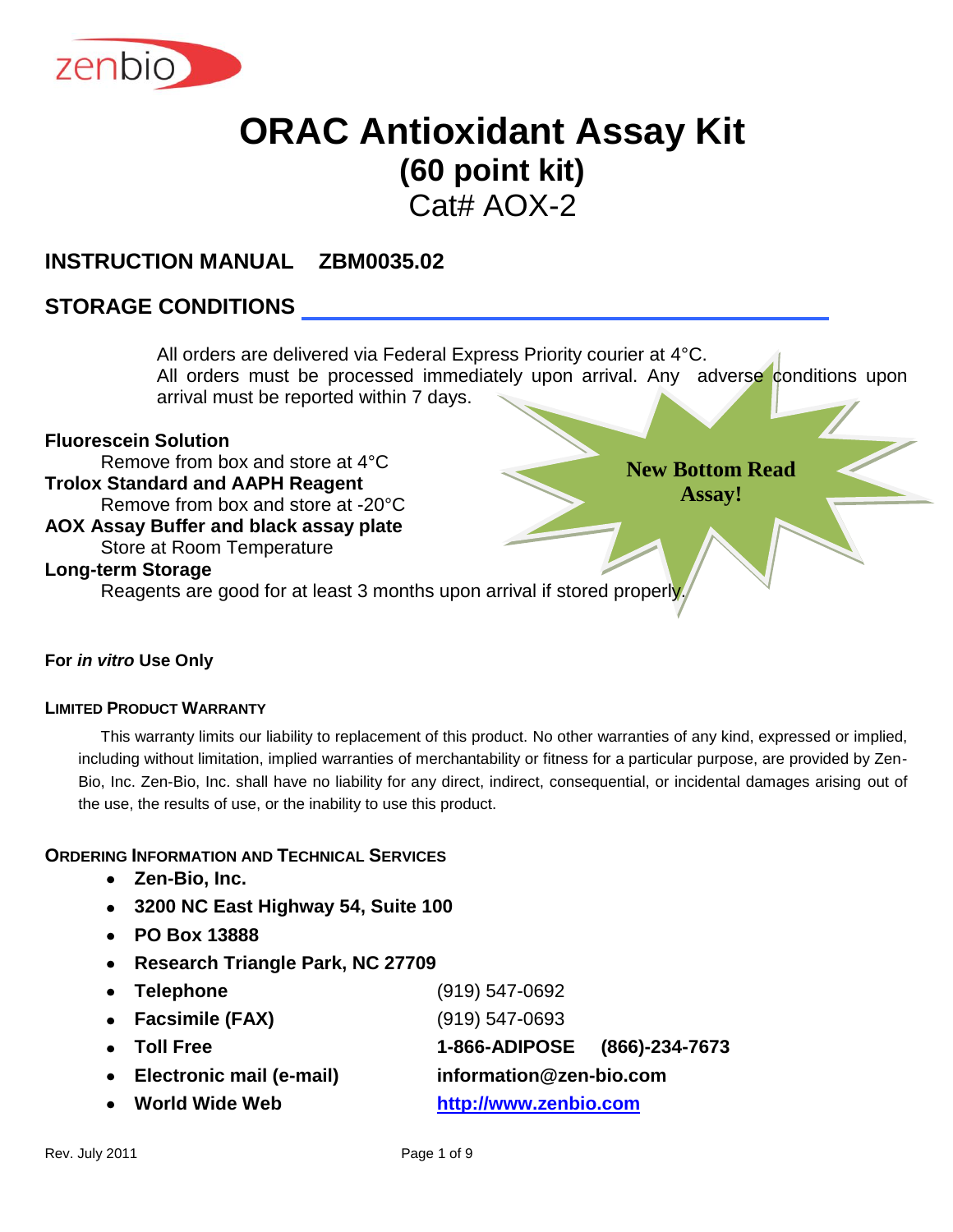

# **ORAC Antioxidant Assay Kit (60 point kit)**

 $Cat# AOX-2$ 

#### **INSTRUCTION MANUAL ZBM0035.02**

#### **STORAGE CONDITIONS**

**New Bottom Read Assay!** All orders are delivered via Federal Express Priority courier at 4°C. All orders must be processed immediately upon arrival. Any adverse conditions upon arrival must be reported within 7 days. **Fluorescein Solution** Remove from box and store at 4°C **Trolox Standard and AAPH Reagent** Remove from box and store at -20°C **AOX Assay Buffer and black assay plate** Store at Room Temperature **Long-term Storage** Reagents are good for at least 3 months upon arrival if stored properly.

#### **For** *in vitro* **Use Only**

#### **LIMITED PRODUCT WARRANTY**

This warranty limits our liability to replacement of this product. No other warranties of any kind, expressed or implied, including without limitation, implied warranties of merchantability or fitness for a particular purpose, are provided by Zen-Bio, Inc. Zen-Bio, Inc. shall have no liability for any direct, indirect, consequential, or incidental damages arising out of the use, the results of use, or the inability to use this product.

#### **ORDERING INFORMATION AND TECHNICAL SERVICES**

- **Zen-Bio, Inc.**
- **3200 NC East Highway 54, Suite 100**
- **PO Box 13888**
- **Research Triangle Park, NC 27709**
- **Telephone** (919) 547-0692 **Facsimile (FAX)** (919) 547-0693 **Toll Free 1-866-ADIPOSE (866)-234-7673 Electronic mail (e-mail) information@zen-bio.com World Wide Web [http://www.zenbio.com](http://www.zenbio.com/)**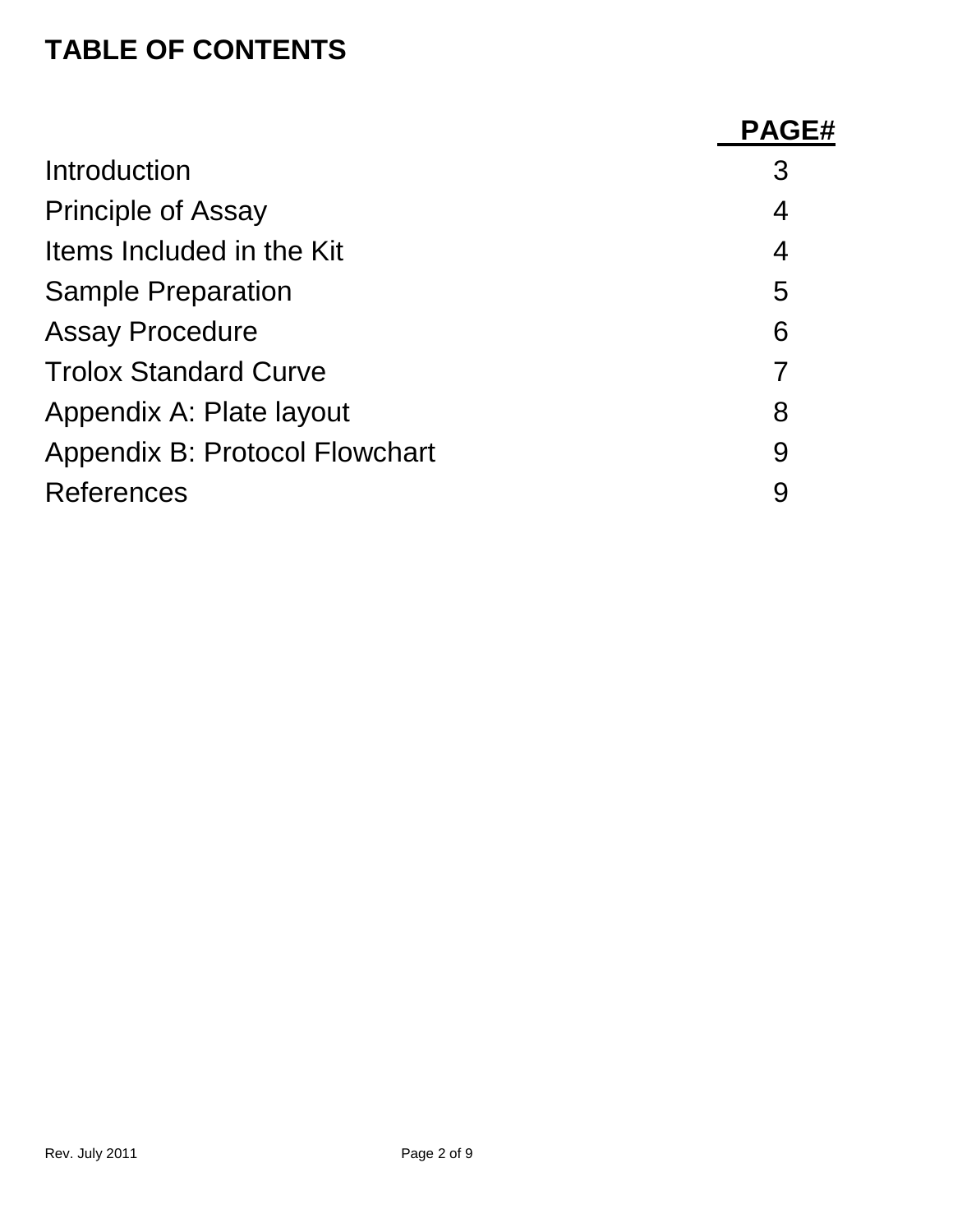### **TABLE OF CONTENTS**

|                                | <b>PAGE#</b> |
|--------------------------------|--------------|
| Introduction                   | 3            |
| <b>Principle of Assay</b>      | 4            |
| Items Included in the Kit      | 4            |
| <b>Sample Preparation</b>      | 5            |
| <b>Assay Procedure</b>         | 6            |
| <b>Trolox Standard Curve</b>   |              |
| Appendix A: Plate layout       | 8            |
| Appendix B: Protocol Flowchart | 9            |
| <b>References</b>              | 9            |
|                                |              |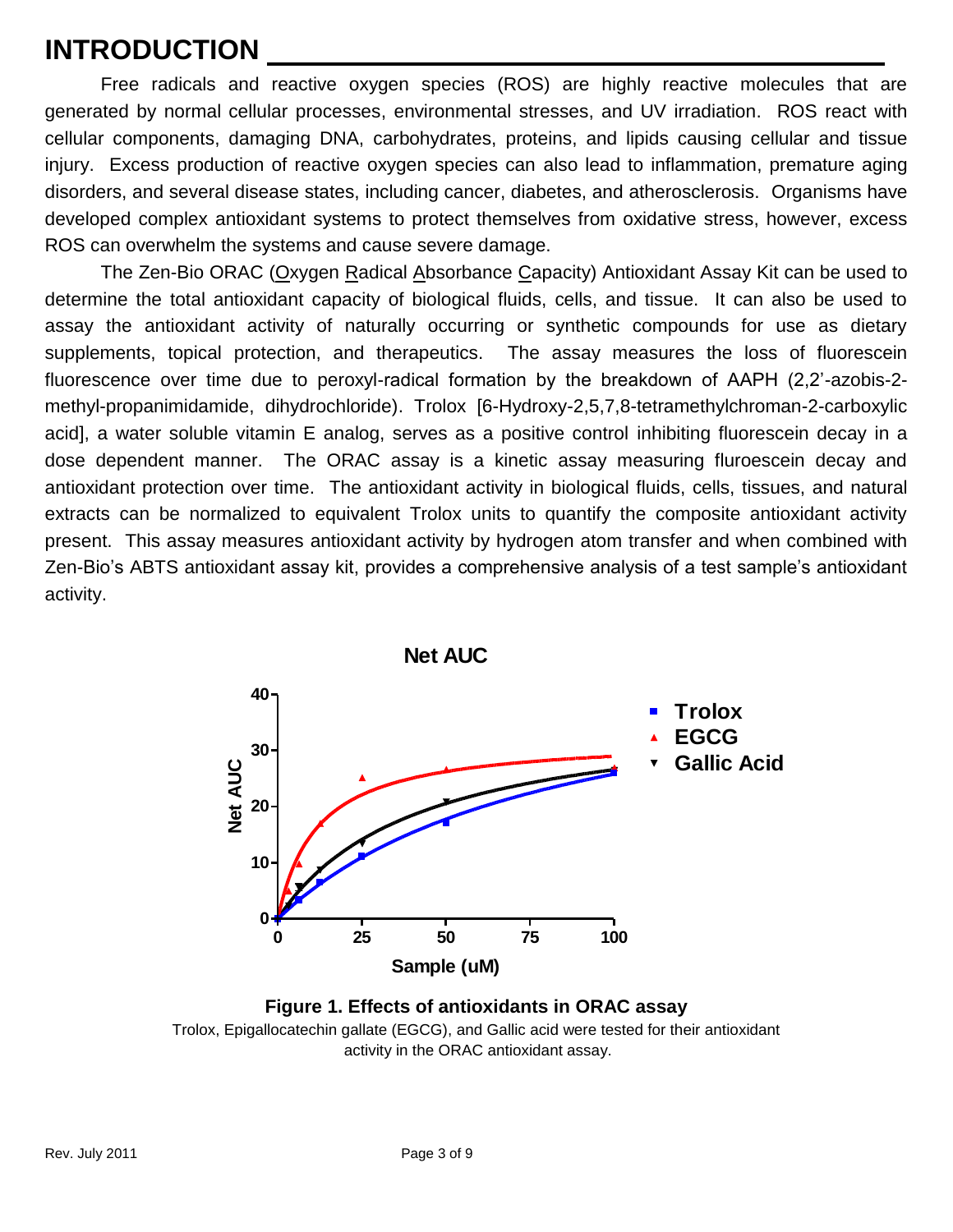### **INTRODUCTION**

Free radicals and reactive oxygen species (ROS) are highly reactive molecules that are generated by normal cellular processes, environmental stresses, and UV irradiation. ROS react with cellular components, damaging DNA, carbohydrates, proteins, and lipids causing cellular and tissue injury. Excess production of reactive oxygen species can also lead to inflammation, premature aging disorders, and several disease states, including cancer, diabetes, and atherosclerosis. Organisms have developed complex antioxidant systems to protect themselves from oxidative stress, however, excess ROS can overwhelm the systems and cause severe damage.

The Zen-Bio ORAC (Oxygen Radical Absorbance Capacity) Antioxidant Assay Kit can be used to determine the total antioxidant capacity of biological fluids, cells, and tissue. It can also be used to assay the antioxidant activity of naturally occurring or synthetic compounds for use as dietary supplements, topical protection, and therapeutics. The assay measures the loss of fluorescein fluorescence over time due to peroxyl-radical formation by the breakdown of AAPH (2,2'-azobis-2 methyl-propanimidamide, dihydrochloride). Trolox [6-Hydroxy-2,5,7,8-tetramethylchroman-2-carboxylic acid], a water soluble vitamin E analog, serves as a positive control inhibiting fluorescein decay in a dose dependent manner. The ORAC assay is a kinetic assay measuring fluroescein decay and antioxidant protection over time. The antioxidant activity in biological fluids, cells, tissues, and natural extracts can be normalized to equivalent Trolox units to quantify the composite antioxidant activity present. This assay measures antioxidant activity by hydrogen atom transfer and when combined with Zen-Bio's ABTS antioxidant assay kit, provides a comprehensive analysis of a test sample's antioxidant activity.



**Figure 1. Effects of antioxidants in ORAC assay** Trolox, Epigallocatechin gallate (EGCG), and Gallic acid were tested for their antioxidant activity in the ORAC antioxidant assay.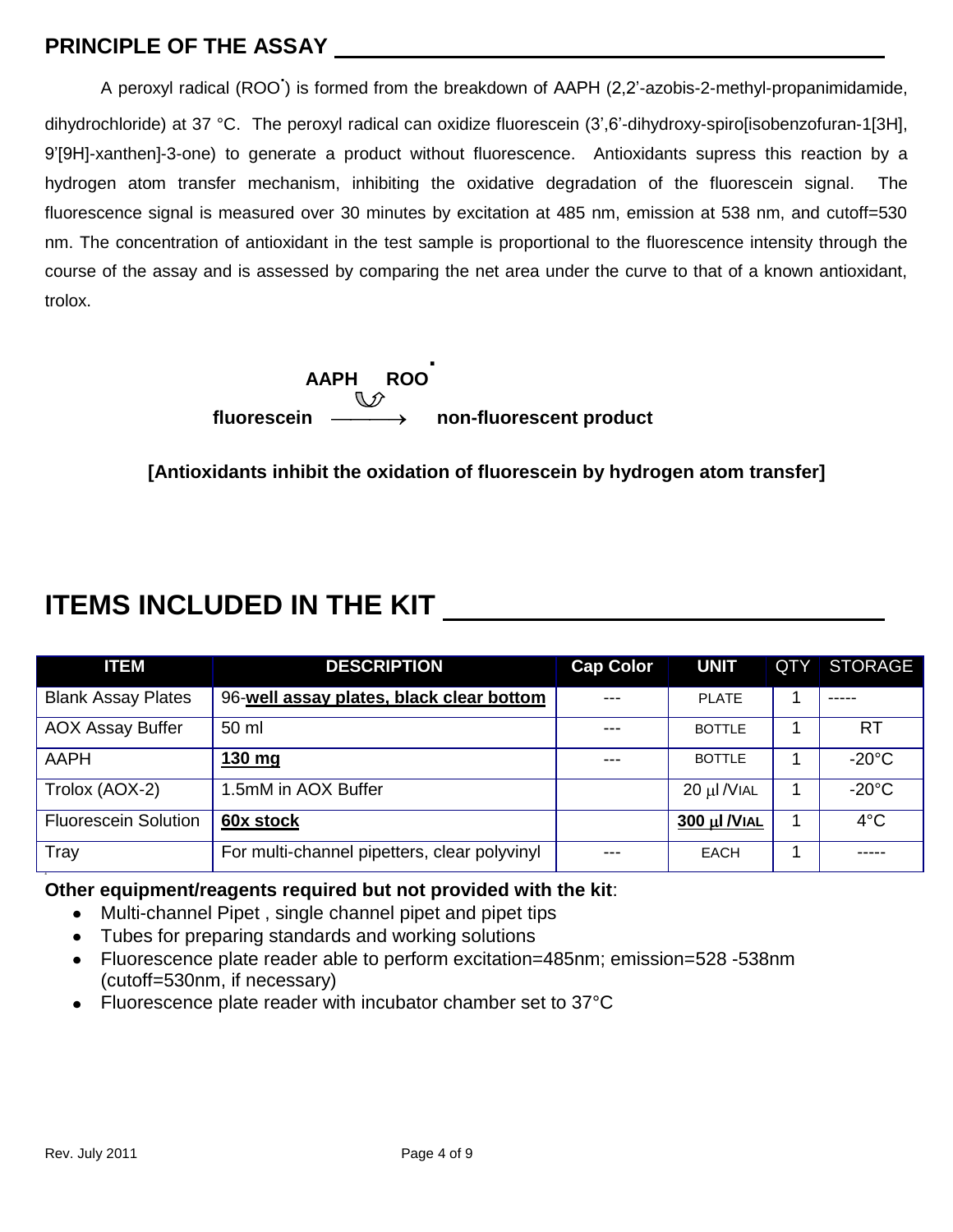#### **PRINCIPLE OF THE ASSAY**

A peroxyl radical (ROO**.** ) is formed from the breakdown of AAPH (2,2'-azobis-2-methyl-propanimidamide, dihydrochloride) at 37 °C. The peroxyl radical can oxidize fluorescein (3',6'-dihydroxy-spiro[isobenzofuran-1[3H], 9'[9H]-xanthen]-3-one) to generate a product without fluorescence. Antioxidants supress this reaction by a hydrogen atom transfer mechanism, inhibiting the oxidative degradation of the fluorescein signal. The fluorescence signal is measured over 30 minutes by excitation at 485 nm, emission at 538 nm, and cutoff=530 nm. The concentration of antioxidant in the test sample is proportional to the fluorescence intensity through the course of the assay and is assessed by comparing the net area under the curve to that of a known antioxidant, trolox.

> **AAPH ROO . fluorescein non-fluorescent product**

**[Antioxidants inhibit the oxidation of fluorescein by hydrogen atom transfer]**

### **ITEMS INCLUDED IN THE KIT**

| <b>ITEM</b>                 | <b>DESCRIPTION</b>                           | <b>Cap Color</b> | <b>UNIT</b>      | QTY | <b>STORAGE</b>  |
|-----------------------------|----------------------------------------------|------------------|------------------|-----|-----------------|
| <b>Blank Assay Plates</b>   | 96-well assay plates, black clear bottom     | $---$            | <b>PLATE</b>     |     | -----           |
| <b>AOX Assay Buffer</b>     | 50 ml                                        | $---$            | <b>BOTTLE</b>    |     | RT              |
| AAPH                        | 130 mg                                       | $---$            | <b>BOTTLE</b>    |     | $-20^{\circ}$ C |
| Trolox (AOX-2)              | 1.5mM in AOX Buffer                          |                  | 20 µl /VIAL      |     | $-20^{\circ}$ C |
| <b>Fluorescein Solution</b> | 60x stock                                    |                  | $300$ µl $N$ IAL | 1   | $4^{\circ}$ C   |
| Tray                        | For multi-channel pipetters, clear polyvinyl | $---$            | <b>EACH</b>      |     |                 |

#### **Other equipment/reagents required but not provided with the kit**:

- Multi-channel Pipet , single channel pipet and pipet tips
- Tubes for preparing standards and working solutions
- Fluorescence plate reader able to perform excitation=485nm; emission=528 -538nm (cutoff=530nm, if necessary)
- Fluorescence plate reader with incubator chamber set to 37°C

**4**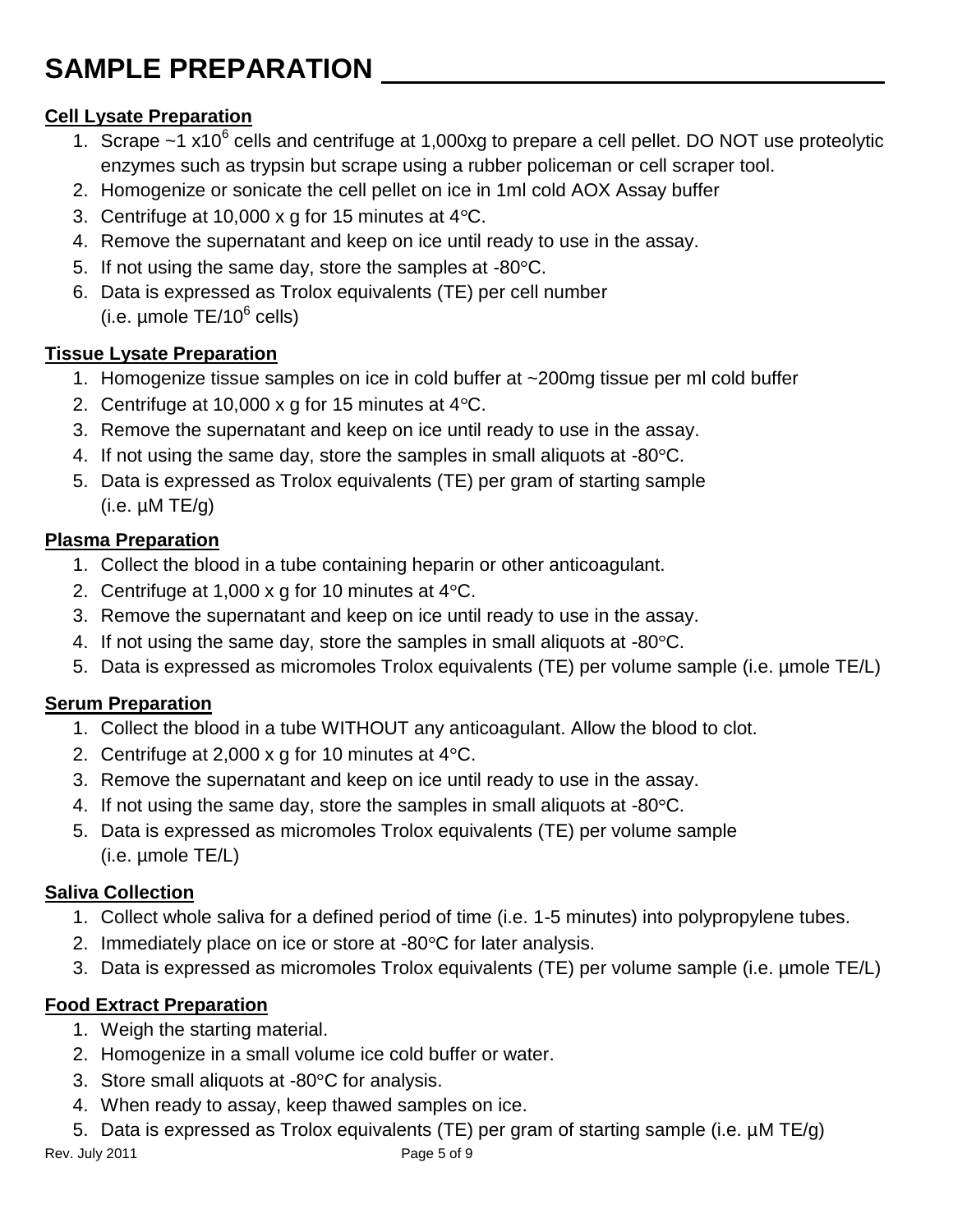# **SAMPLE PREPARATION**

#### **Cell Lysate Preparation**

- 1. Scrape  $\sim$ 1 x10 $^6$  cells and centrifuge at 1,000xg to prepare a cell pellet. DO NOT use proteolytic enzymes such as trypsin but scrape using a rubber policeman or cell scraper tool.
- 2. Homogenize or sonicate the cell pellet on ice in 1ml cold AOX Assay buffer
- 3. Centrifuge at 10,000 x g for 15 minutes at  $4^{\circ}$ C.
- 4. Remove the supernatant and keep on ice until ready to use in the assay.
- 5. If not using the same day, store the samples at  $-80^{\circ}$ C.
- 6. Data is expressed as Trolox equivalents (TE) per cell number  $(i.e.$  µmole TE/10 $<sup>6</sup>$  cells)</sup>

#### **Tissue Lysate Preparation**

- 1. Homogenize tissue samples on ice in cold buffer at ~200mg tissue per ml cold buffer
- 2. Centrifuge at 10,000 x g for 15 minutes at  $4^{\circ}$ C.
- 3. Remove the supernatant and keep on ice until ready to use in the assay.
- 4. If not using the same day, store the samples in small aliquots at  $-80^{\circ}$ C.
- 5. Data is expressed as Trolox equivalents (TE) per gram of starting sample  $(i.e. \mu M TE/g)$

#### **Plasma Preparation**

- 1. Collect the blood in a tube containing heparin or other anticoagulant.
- 2. Centrifuge at 1,000 x g for 10 minutes at  $4^{\circ}$ C.
- 3. Remove the supernatant and keep on ice until ready to use in the assay.
- 4. If not using the same day, store the samples in small aliquots at  $-80^{\circ}$ C.
- 5. Data is expressed as micromoles Trolox equivalents (TE) per volume sample (i.e. µmole TE/L)

#### **Serum Preparation**

- 1. Collect the blood in a tube WITHOUT any anticoagulant. Allow the blood to clot.
- 2. Centrifuge at 2,000 x g for 10 minutes at  $4^{\circ}$ C.
- 3. Remove the supernatant and keep on ice until ready to use in the assay.
- 4. If not using the same day, store the samples in small aliquots at  $-80^{\circ}$ C.
- 5. Data is expressed as micromoles Trolox equivalents (TE) per volume sample (i.e. µmole TE/L)

#### **Saliva Collection**

- 1. Collect whole saliva for a defined period of time (i.e. 1-5 minutes) into polypropylene tubes.
- 2. Immediately place on ice or store at  $-80^{\circ}$ C for later analysis.
- 3. Data is expressed as micromoles Trolox equivalents (TE) per volume sample (i.e. µmole TE/L)

#### **Food Extract Preparation**

- 1. Weigh the starting material.
- 2. Homogenize in a small volume ice cold buffer or water.
- 3. Store small aliquots at  $-80^{\circ}$ C for analysis.
- 4. When ready to assay, keep thawed samples on ice.
- 5. Data is expressed as Trolox equivalents (TE) per gram of starting sample (i.e. µM TE/g)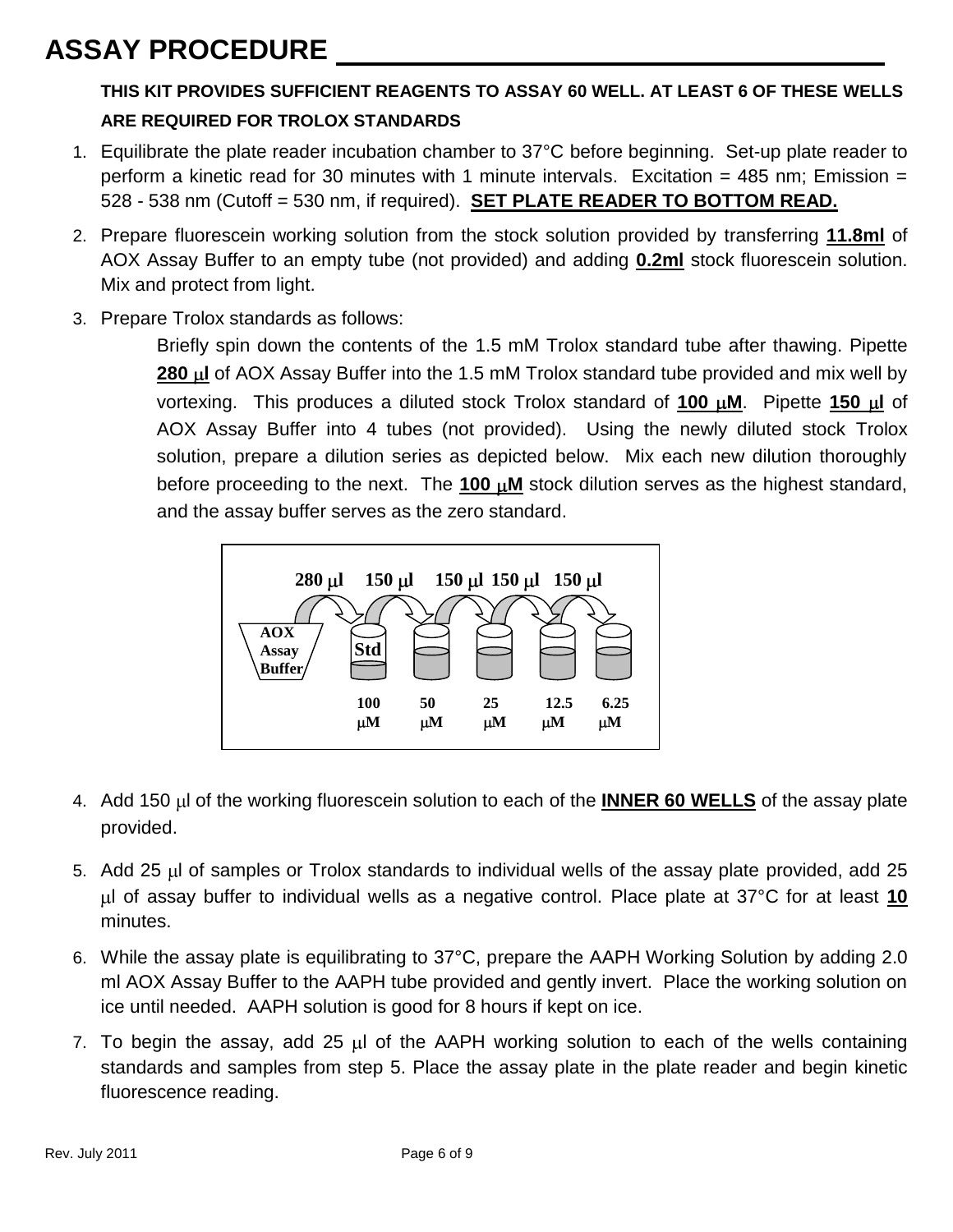### **ASSAY PROCEDURE**

#### **THIS KIT PROVIDES SUFFICIENT REAGENTS TO ASSAY 60 WELL. AT LEAST 6 OF THESE WELLS ARE REQUIRED FOR TROLOX STANDARDS**

- 1. Equilibrate the plate reader incubation chamber to 37°C before beginning. Set-up plate reader to perform a kinetic read for 30 minutes with 1 minute intervals. Excitation = 485 nm; Emission = 528 - 538 nm (Cutoff = 530 nm, if required). **SET PLATE READER TO BOTTOM READ.**
- 2. Prepare fluorescein working solution from the stock solution provided by transferring **11.8ml** of AOX Assay Buffer to an empty tube (not provided) and adding **0.2ml** stock fluorescein solution. Mix and protect from light.
- 3. Prepare Trolox standards as follows:

Briefly spin down the contents of the 1.5 mM Trolox standard tube after thawing. Pipette **280 µ of AOX Assay Buffer into the 1.5 mM Trolox standard tube provided and mix well by** vortexing. This produces a diluted stock Trolox standard of 100  $\mu$ M. Pipette 150  $\mu$ l of AOX Assay Buffer into 4 tubes (not provided). Using the newly diluted stock Trolox solution, prepare a dilution series as depicted below. Mix each new dilution thoroughly before proceeding to the next. The **100 µM** stock dilution serves as the highest standard, and the assay buffer serves as the zero standard.



- 4. Add 150 l of the working fluorescein solution to each of the **INNER 60 WELLS** of the assay plate provided.
- 5. Add 25  $\mu$  of samples or Trolox standards to individual wells of the assay plate provided, add 25 l of assay buffer to individual wells as a negative control. Place plate at 37°C for at least **10** minutes.
- 6. While the assay plate is equilibrating to 37°C, prepare the AAPH Working Solution by adding 2.0 ml AOX Assay Buffer to the AAPH tube provided and gently invert. Place the working solution on ice until needed. AAPH solution is good for 8 hours if kept on ice.
- 7. To begin the assay, add 25  $\mu$  of the AAPH working solution to each of the wells containing standards and samples from step 5. Place the assay plate in the plate reader and begin kinetic fluorescence reading.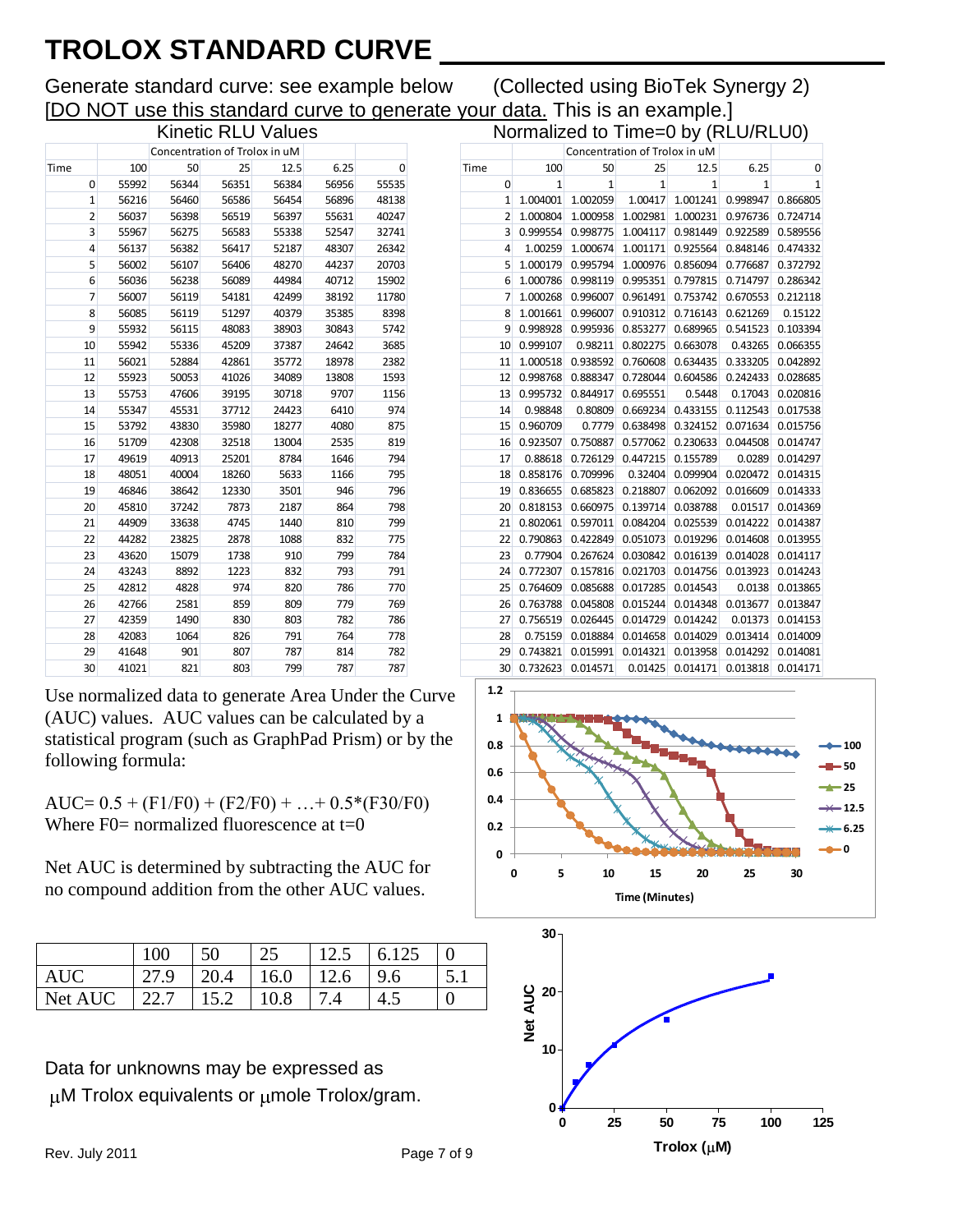## **TROLOX STANDARD CURVE**

Generate standard curve: see example below (Collected using BioTek Synergy 2) [DO NOT use this standard curve to generate your data. This is an example.]

Normalized to Time=0 by  $(RLU/RLU0)$ 

|                |                               |       | Kinetic RLU values |       |       |       |  |  |
|----------------|-------------------------------|-------|--------------------|-------|-------|-------|--|--|
|                | Concentration of Trolox in uM |       |                    |       |       |       |  |  |
| Time           | 100                           | 50    | 25                 | 12.5  | 6.25  | 0     |  |  |
| 0              | 55992                         | 56344 | 56351              | 56384 | 56956 | 55535 |  |  |
| $\mathbf{1}$   | 56216                         | 56460 | 56586              | 56454 | 56896 | 48138 |  |  |
| $\overline{2}$ | 56037                         | 56398 | 56519              | 56397 | 55631 | 40247 |  |  |
| 3              | 55967                         | 56275 | 56583              | 55338 | 52547 | 32741 |  |  |
| 4              | 56137                         | 56382 | 56417              | 52187 | 48307 | 26342 |  |  |
| 5              | 56002                         | 56107 | 56406              | 48270 | 44237 | 20703 |  |  |
| 6              | 56036                         | 56238 | 56089              | 44984 | 40712 | 15902 |  |  |
| 7              | 56007                         | 56119 | 54181              | 42499 | 38192 | 11780 |  |  |
| 8              | 56085                         | 56119 | 51297              | 40379 | 35385 | 8398  |  |  |
| 9              | 55932                         | 56115 | 48083              | 38903 | 30843 | 5742  |  |  |
| 10             | 55942                         | 55336 | 45209              | 37387 | 24642 | 3685  |  |  |
| 11             | 56021                         | 52884 | 42861              | 35772 | 18978 | 2382  |  |  |
| 12             | 55923                         | 50053 | 41026              | 34089 | 13808 | 1593  |  |  |
| 13             | 55753                         | 47606 | 39195              | 30718 | 9707  | 1156  |  |  |
| 14             | 55347                         | 45531 | 37712              | 24423 | 6410  | 974   |  |  |
| 15             | 53792                         | 43830 | 35980              | 18277 | 4080  | 875   |  |  |
| 16             | 51709                         | 42308 | 32518              | 13004 | 2535  | 819   |  |  |
| 17             | 49619                         | 40913 | 25201              | 8784  | 1646  | 794   |  |  |
| 18             | 48051                         | 40004 | 18260              | 5633  | 1166  | 795   |  |  |
| 19             | 46846                         | 38642 | 12330              | 3501  | 946   | 796   |  |  |
| 20             | 45810                         | 37242 | 7873               | 2187  | 864   | 798   |  |  |
| 21             | 44909                         | 33638 | 4745               | 1440  | 810   | 799   |  |  |
| 22             | 44282                         | 23825 | 2878               | 1088  | 832   | 775   |  |  |
| 23             | 43620                         | 15079 | 1738               | 910   | 799   | 784   |  |  |
| 24             | 43243                         | 8892  | 1223               | 832   | 793   | 791   |  |  |
| 25             | 42812                         | 4828  | 974                | 820   | 786   | 770   |  |  |
| 26             | 42766                         | 2581  | 859                | 809   | 779   | 769   |  |  |
| 27             | 42359                         | 1490  | 830                | 803   | 782   | 786   |  |  |
| 28             | 42083                         | 1064  | 826                | 791   | 764   | 778   |  |  |
| 29             | 41648                         | 901   | 807                | 787   | 814   | 782   |  |  |
| 30             | 41021                         | 821   | 803                | 799   | 787   | 787   |  |  |

Use normalized data to generate Area Under the Curve (AUC) values. AUC values can be calculated by a statistical program (such as GraphPad Prism) or by the following formula:

AUC=  $0.5 + (F1/F0) + (F2/F0) + ... + 0.5*(F30/F0)$ Where  $F0=$  normalized fluorescence at  $t=0$ 

Net AUC is determined by subtracting the AUC for no compound addition from the other AUC values.

|            | 100  | 50   | 25   | 12.5 | 6.125 |  |
|------------|------|------|------|------|-------|--|
| <b>AUC</b> |      | 20.4 | 16.0 | 12.6 | 9.6   |  |
| Net AUC    | 22.7 | 15.2 | 10.8 |      |       |  |

Data for unknowns may be expressed as  $\mu$ M Trolox equivalents or  $\mu$ mole Trolox/gram.

| 100      | 50             | 25       | 12.5         | 6.25                          | 0                  |
|----------|----------------|----------|--------------|-------------------------------|--------------------|
| 1        | $\overline{1}$ | 1        | $\mathbf{1}$ | 1                             | 1                  |
| 1.004001 | 1.002059       | 1.00417  | 1.001241     | 0.998947                      | 0.866805           |
| 1.000804 | 1.000958       | 1.002981 | 1.000231     | 0.976736                      | 0.724714           |
| 0.999554 | 0.998775       | 1.004117 | 0.981449     | 0.922589                      | 0.589556           |
| 1.00259  | 1.000674       | 1.001171 | 0.925564     | 0.848146                      | 0.474332           |
| 1.000179 | 0.995794       | 1.000976 | 0.856094     | 0.776687                      | 0.372792           |
| 1.000786 | 0.998119       | 0.995351 | 0.797815     | 0.714797                      | 0.286342           |
| 1.000268 | 0.996007       | 0.961491 | 0.753742     | 0.670553                      | 0.212118           |
| 1.001661 | 0.996007       | 0.910312 | 0.716143     | 0.621269                      | 0.15122            |
| 0.998928 | 0.995936       | 0.853277 | 0.689965     | 0.541523                      | 0.103394           |
| 0.999107 | 0.98211        | 0.802275 | 0.663078     | 0.43265                       | 0.066355           |
| 1.000518 | 0.938592       | 0.760608 | 0.634435     | 0.333205                      | 0.042892           |
| 0.998768 | 0.888347       | 0.728044 | 0.604586     | 0.242433                      | 0.028685           |
| 0.995732 | 0.844917       | 0.695551 | 0.5448       | 0.17043                       | 0.020816           |
| 0.98848  | 0.80809        | 0.669234 | 0.433155     | 0.112543                      | 0.017538           |
| 0.960709 | 0.7779         | 0.638498 | 0.324152     | 0.071634                      | 0.015756           |
| 0.923507 | 0.750887       | 0.577062 | 0.230633     | 0.044508                      | 0.014747           |
| 0.88618  | 0.726129       | 0.447215 | 0.155789     | 0.0289                        | 0.014297           |
| 0.858176 | 0.709996       | 0.32404  | 0.099904     | 0.020472                      | 0.014315           |
| 0.836655 | 0.685823       | 0.218807 | 0.062092     | 0.016609                      | 0.014333           |
| 0.818153 | 0.660975       | 0.139714 | 0.038788     | 0.01517                       | 0.014369           |
| 0.802061 | 0.597011       | 0.084204 | 0.025539     | 0.014222                      | 0.014387           |
| 0.790863 | 0.422849       | 0.051073 | 0.019296     | 0.014608                      | 0.013955           |
| 0.77904  | 0.267624       | 0.030842 | 0.016139     | 0.014028                      | 0.014117           |
| 0.772307 | 0.157816       | 0.021703 | 0.014756     | 0.013923                      | 0.014243           |
| 0.764609 | 0.085688       | 0.017285 | 0.014543     | 0.0138                        | 0.013865           |
| 0.763788 | 0.045808       | 0.015244 | 0.014348     | 0.013677                      | 0.013847           |
| 0.756519 | 0.026445       | 0.014729 | 0.014242     | 0.01373                       | 0.014153           |
| 0.75159  | 0.018884       | 0.014658 | 0.014029     | 0.013414                      | 0.014009           |
| 0.743821 | 0.015991       | 0.014321 | 0.013958     | 0.014292                      | 0.014081           |
| 0.732623 | 0.014571       | 0.01425  | 0.014171     | 0.013818                      | 0.014171           |
|          |                |          |              | Concentration of Trolox in uM | $10 - 10 - 10 = 0$ |



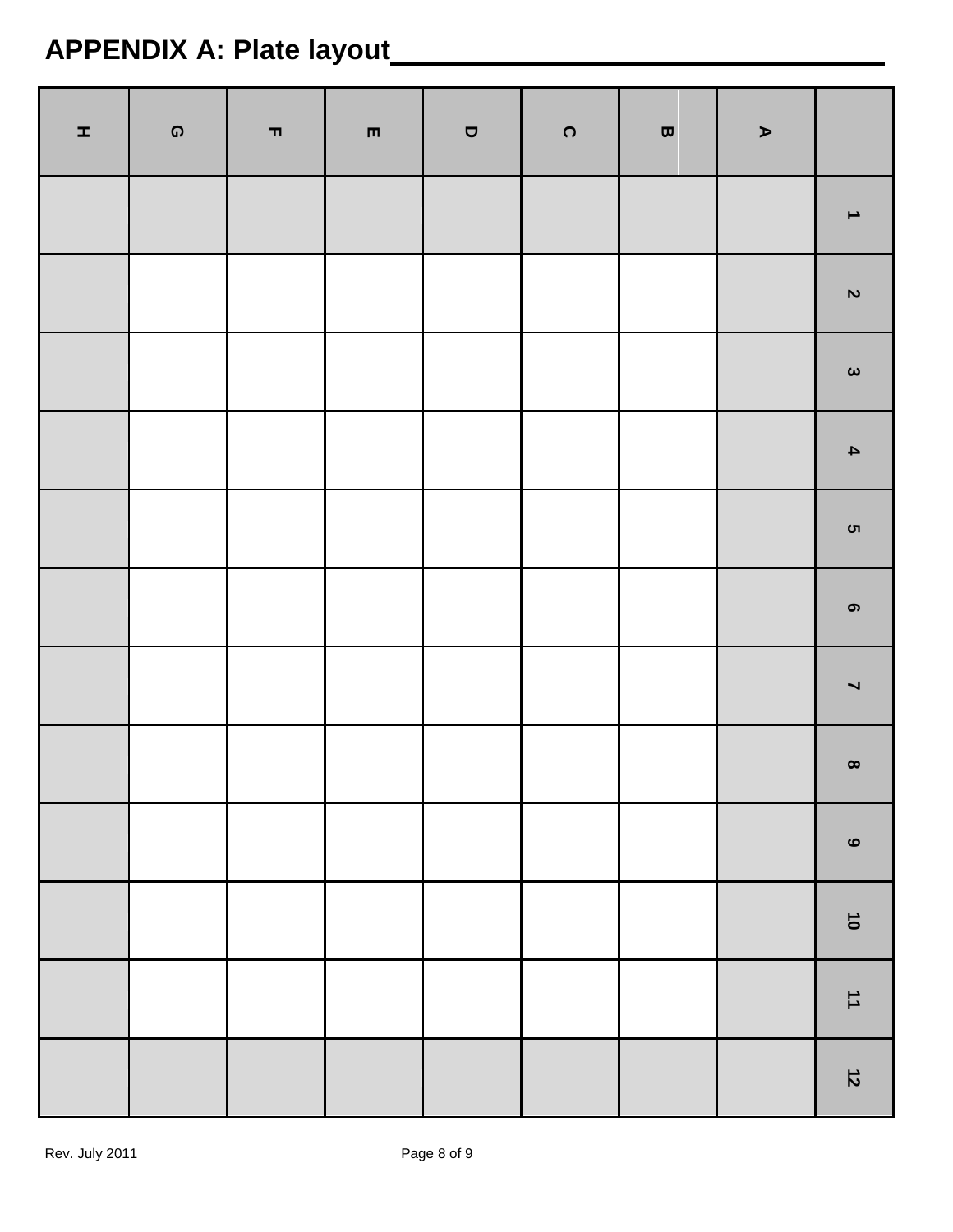# **APPENDIX A: Plate layout**

| H, | $\pmb{\mathsf{\Omega}}$ | $\blacksquare$ | $\blacksquare$ | $\blacksquare$ | $\Omega$ | $\pmb{\varpi}$ | $\blacktriangleright$ |                                |
|----|-------------------------|----------------|----------------|----------------|----------|----------------|-----------------------|--------------------------------|
|    |                         |                |                |                |          |                |                       | $\blacktriangle$               |
|    |                         |                |                |                |          |                |                       | $\boldsymbol{\mathsf{N}}$      |
|    |                         |                |                |                |          |                |                       | $\pmb{\omega}$                 |
|    |                         |                |                |                |          |                |                       | $\blacktriangle$               |
|    |                         |                |                |                |          |                |                       | ຕ                              |
|    |                         |                |                |                |          |                |                       | $\bullet$                      |
|    |                         |                |                |                |          |                |                       | $\blacktriangleright$          |
|    |                         |                |                |                |          |                |                       | $\pmb{\infty}$                 |
|    |                         |                |                |                |          |                |                       | $\mathbf \omega$               |
|    |                         |                |                |                |          |                |                       | $\vec{\bullet}$                |
|    |                         |                |                |                |          |                |                       | $\overrightarrow{\phantom{a}}$ |
|    |                         |                |                |                |          |                |                       | $\vec{z}$                      |